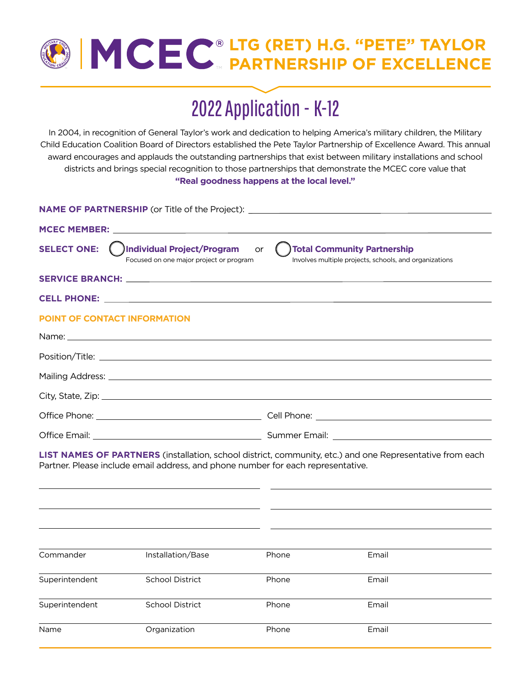## **LTG (RET) H.G. "PETE" TAYLOR PARTNERSHIP OF EXCELLENCE**

# 2022 Application - K-12

In 2004, in recognition of General Taylor's work and dedication to helping America's military children, the Military Child Education Coalition Board of Directors established the Pete Taylor Partnership of Excellence Award. This annual award encourages and applauds the outstanding partnerships that exist between military installations and school districts and brings special recognition to those partnerships that demonstrate the MCEC core value that **"Real goodness happens at the local level."**

|                                     | NAME OF PARTNERSHIP (or Title of the Project): _________________________________                                                                                                                                              |           |                                                                                                                 |
|-------------------------------------|-------------------------------------------------------------------------------------------------------------------------------------------------------------------------------------------------------------------------------|-----------|-----------------------------------------------------------------------------------------------------------------|
|                                     | MCEC MEMBER: New York Street Assembly the Material Street Assembly the Material Street Assembly the Material Street Assembly                                                                                                  |           |                                                                                                                 |
| <b>SELECT ONE:</b>                  | ( )Individual Project/Program<br>Focused on one major project or program                                                                                                                                                      | <b>or</b> | Total Community Partnership<br>Involves multiple projects, schools, and organizations                           |
|                                     |                                                                                                                                                                                                                               |           |                                                                                                                 |
|                                     |                                                                                                                                                                                                                               |           |                                                                                                                 |
| <b>POINT OF CONTACT INFORMATION</b> |                                                                                                                                                                                                                               |           |                                                                                                                 |
|                                     | Name: Name: Name: Name: Name: Name: Name: Name: Name: Name: Name: Name: Name: Name: Name: Name: Name: Name: Name: Name: Name: Name: Name: Name: Name: Name: Name: Name: Name: Name: Name: Name: Name: Name: Name: Name: Name: |           |                                                                                                                 |
|                                     |                                                                                                                                                                                                                               |           |                                                                                                                 |
|                                     |                                                                                                                                                                                                                               |           |                                                                                                                 |
|                                     |                                                                                                                                                                                                                               |           |                                                                                                                 |
|                                     |                                                                                                                                                                                                                               |           |                                                                                                                 |
|                                     |                                                                                                                                                                                                                               |           |                                                                                                                 |
|                                     | Partner. Please include email address, and phone number for each representative.                                                                                                                                              |           | <b>LIST NAMES OF PARTNERS</b> (installation, school district, community, etc.) and one Representative from each |
|                                     |                                                                                                                                                                                                                               |           |                                                                                                                 |
|                                     |                                                                                                                                                                                                                               |           |                                                                                                                 |
|                                     |                                                                                                                                                                                                                               |           |                                                                                                                 |
| Commander                           | Installation/Base                                                                                                                                                                                                             | Phone     | Email                                                                                                           |
| Superintendent                      | <b>School District</b>                                                                                                                                                                                                        | Phone     | Email                                                                                                           |
| Superintendent                      | <b>School District</b>                                                                                                                                                                                                        | Phone     | Email                                                                                                           |
| Name                                | Organization                                                                                                                                                                                                                  | Phone     | Email                                                                                                           |